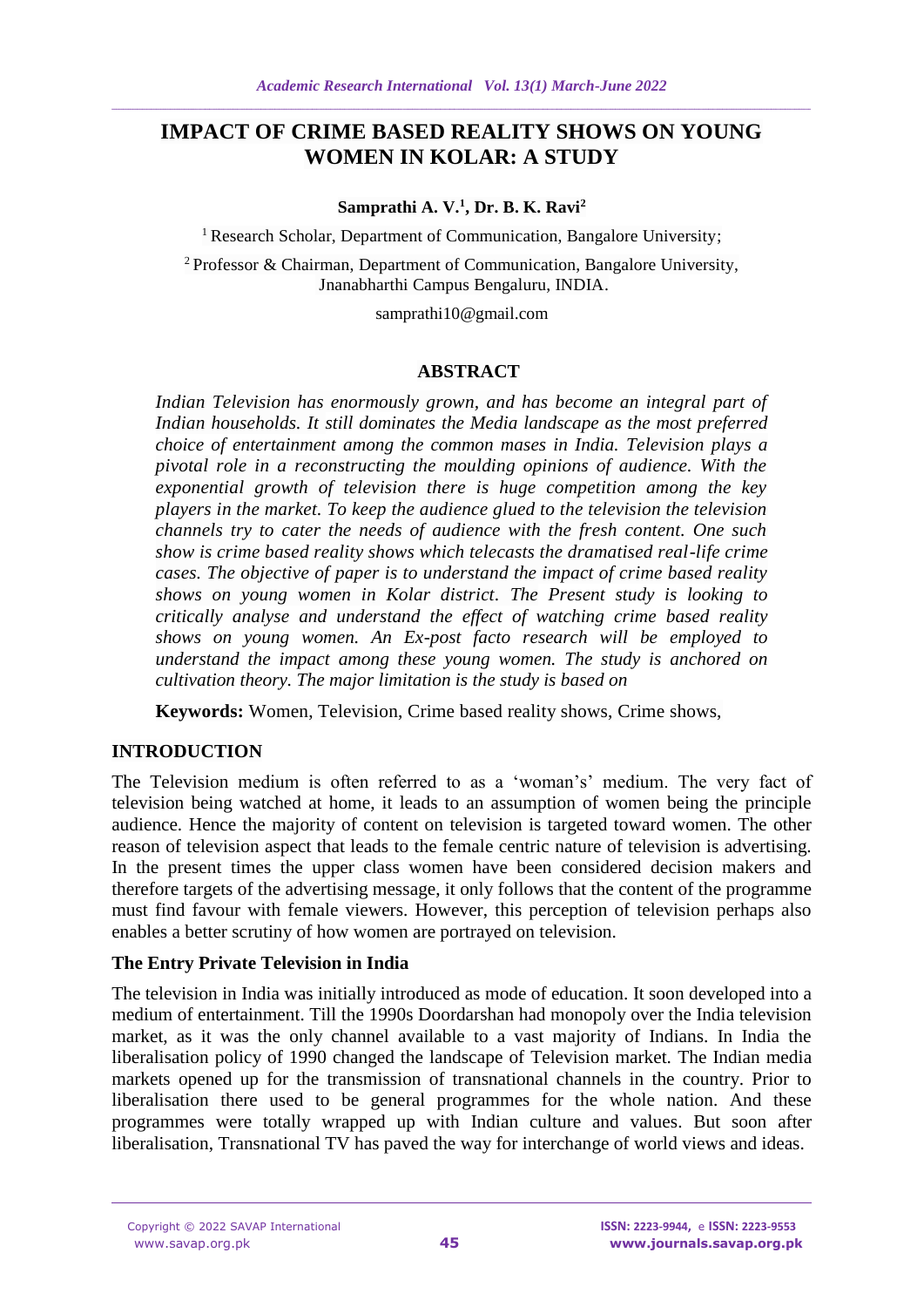# **IMPACT OF CRIME BASED REALITY SHOWS ON YOUNG WOMEN IN KOLAR: A STUDY**

**Samprathi A. V.<sup>1</sup> , Dr. B. K. Ravi<sup>2</sup>**

<sup>1</sup> Research Scholar, Department of Communication, Bangalore University;

<sup>2</sup>Professor & Chairman, Department of Communication, Bangalore University, Jnanabharthi Campus Bengaluru, INDIA.

samprathi10@gmail.com

## **ABSTRACT**

*Indian Television has enormously grown, and has become an integral part of Indian households. It still dominates the Media landscape as the most preferred choice of entertainment among the common mases in India. Television plays a pivotal role in a reconstructing the moulding opinions of audience. With the exponential growth of television there is huge competition among the key players in the market. To keep the audience glued to the television the television channels try to cater the needs of audience with the fresh content. One such show is crime based reality shows which telecasts the dramatised real-life crime cases. The objective of paper is to understand the impact of crime based reality shows on young women in Kolar district. The Present study is looking to critically analyse and understand the effect of watching crime based reality shows on young women. An Ex-post facto research will be employed to understand the impact among these young women. The study is anchored on cultivation theory. The major limitation is the study is based on* 

**Keywords:** Women, Television, Crime based reality shows, Crime shows,

## **INTRODUCTION**

The Television medium is often referred to as a 'woman's' medium. The very fact of television being watched at home, it leads to an assumption of women being the principle audience. Hence the majority of content on television is targeted toward women. The other reason of television aspect that leads to the female centric nature of television is advertising. In the present times the upper class women have been considered decision makers and therefore targets of the advertising message, it only follows that the content of the programme must find favour with female viewers. However, this perception of television perhaps also enables a better scrutiny of how women are portrayed on television.

## **The Entry Private Television in India**

The television in India was initially introduced as mode of education. It soon developed into a medium of entertainment. Till the 1990s Doordarshan had monopoly over the India television market, as it was the only channel available to a vast majority of Indians. In India the liberalisation policy of 1990 changed the landscape of Television market. The Indian media markets opened up for the transmission of transnational channels in the country. Prior to liberalisation there used to be general programmes for the whole nation. And these programmes were totally wrapped up with Indian culture and values. But soon after liberalisation, Transnational TV has paved the way for interchange of world views and ideas.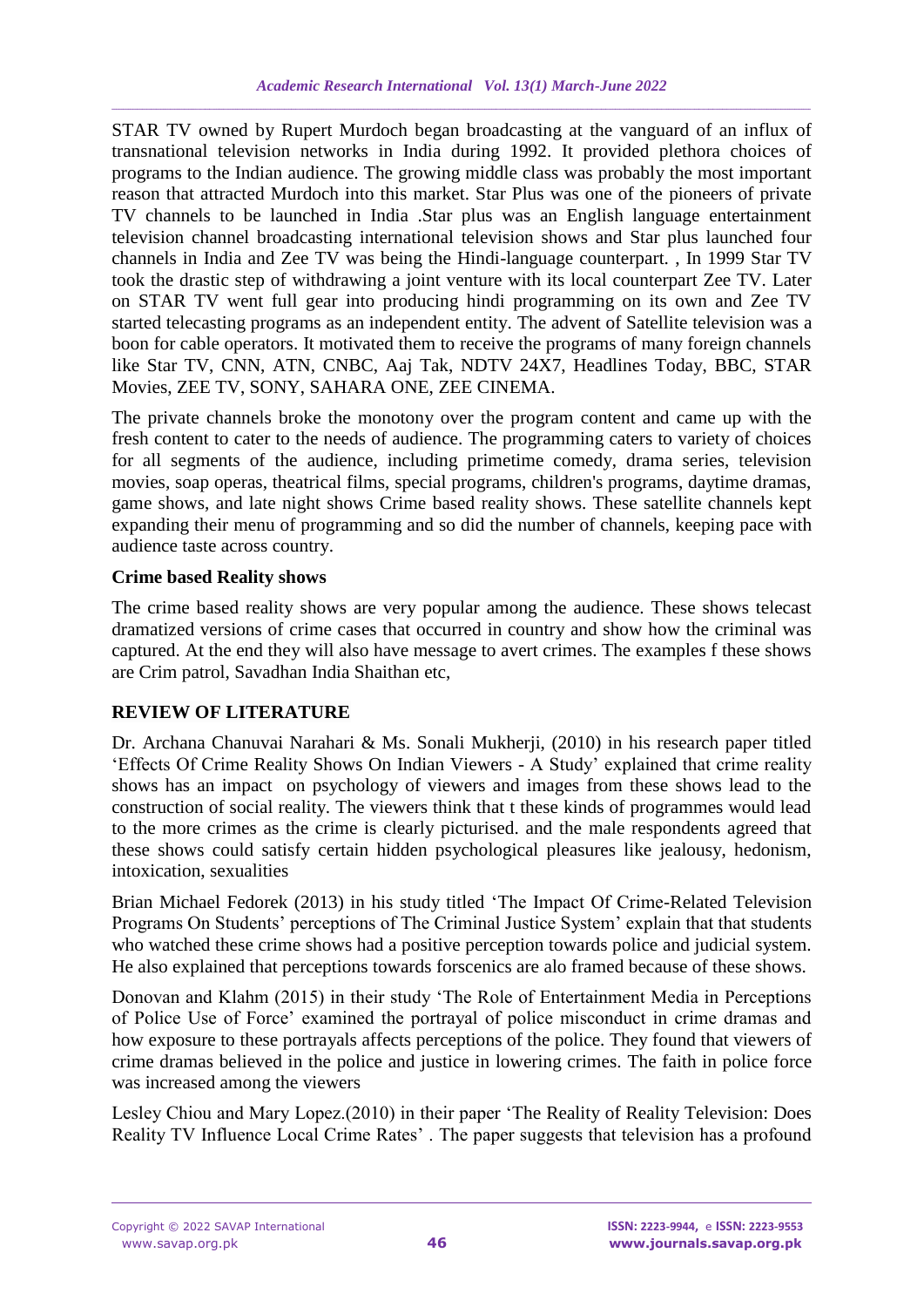STAR TV owned by Rupert Murdoch began broadcasting at the vanguard of an influx of transnational television networks in India during 1992. It provided plethora choices of programs to the Indian audience. The growing middle class was probably the most important reason that attracted Murdoch into this market. Star Plus was one of the pioneers of private TV channels to be launched in India .Star plus was an English language entertainment television channel broadcasting international television shows and Star plus launched four channels in India and Zee TV was being the Hindi-language counterpart. , In 1999 Star TV took the drastic step of withdrawing a joint venture with its local counterpart Zee TV. Later on STAR TV went full gear into producing hindi programming on its own and Zee TV started telecasting programs as an independent entity. The advent of Satellite television was a boon for cable operators. It motivated them to receive the programs of many foreign channels like Star TV, CNN, ATN, CNBC, Aaj Tak, NDTV 24X7, Headlines Today, BBC, STAR Movies, ZEE TV, SONY, SAHARA ONE, ZEE CINEMA.

The private channels broke the monotony over the program content and came up with the fresh content to cater to the needs of audience. The programming caters to variety of choices for all segments of the audience, including primetime comedy, drama series, television movies, soap operas, theatrical films, special programs, children's programs, daytime dramas, game shows, and late night shows Crime based reality shows. These satellite channels kept expanding their menu of programming and so did the number of channels, keeping pace with audience taste across country.

## **Crime based Reality shows**

The crime based reality shows are very popular among the audience. These shows telecast dramatized versions of crime cases that occurred in country and show how the criminal was captured. At the end they will also have message to avert crimes. The examples f these shows are Crim patrol, Savadhan India Shaithan etc,

# **REVIEW OF LITERATURE**

Dr. Archana Chanuvai Narahari & Ms. Sonali Mukherji, (2010) in his research paper titled 'Effects Of Crime Reality Shows On Indian Viewers - A Study' explained that crime reality shows has an impact on psychology of viewers and images from these shows lead to the construction of social reality. The viewers think that t these kinds of programmes would lead to the more crimes as the crime is clearly picturised. and the male respondents agreed that these shows could satisfy certain hidden psychological pleasures like jealousy, hedonism, intoxication, sexualities

Brian Michael Fedorek (2013) in his study titled 'The Impact Of Crime-Related Television Programs On Students' perceptions of The Criminal Justice System' explain that that students who watched these crime shows had a positive perception towards police and judicial system. He also explained that perceptions towards forscenics are alo framed because of these shows.

Donovan and Klahm (2015) in their study 'The Role of Entertainment Media in Perceptions of Police Use of Force' examined the portrayal of police misconduct in crime dramas and how exposure to these portrayals affects perceptions of the police. They found that viewers of crime dramas believed in the police and justice in lowering crimes. The faith in police force was increased among the viewers

Lesley Chiou and Mary Lopez.(2010) in their paper 'The Reality of Reality Television: Does Reality TV Influence Local Crime Rates' . The paper suggests that television has a profound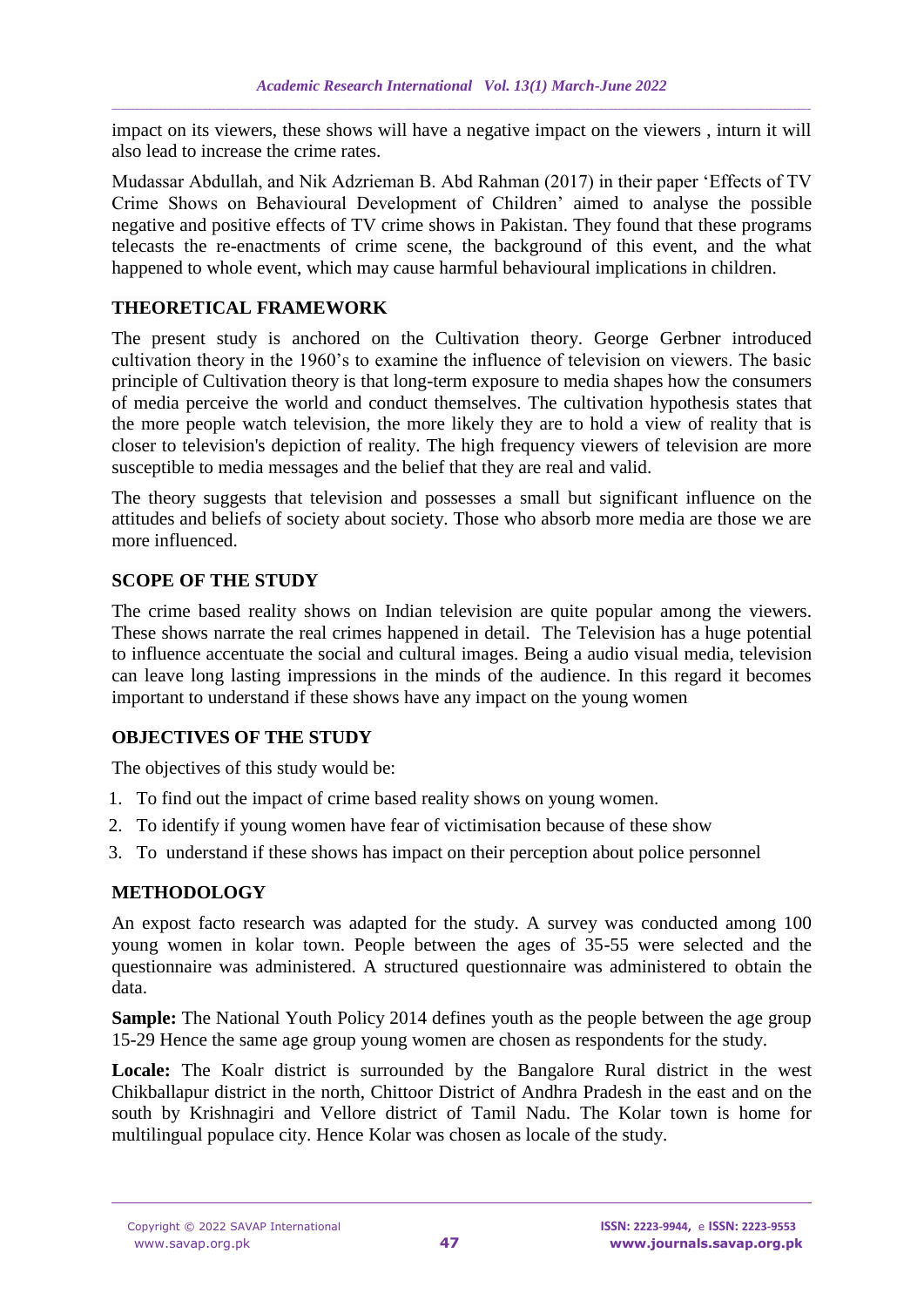impact on its viewers, these shows will have a negative impact on the viewers , inturn it will also lead to increase the crime rates.

Mudassar Abdullah, and Nik Adzrieman B. Abd Rahman (2017) in their paper 'Effects of TV Crime Shows on Behavioural Development of Children' aimed to analyse the possible negative and positive effects of TV crime shows in Pakistan. They found that these programs telecasts the re-enactments of crime scene, the background of this event, and the what happened to whole event, which may cause harmful behavioural implications in children.

## **THEORETICAL FRAMEWORK**

The present study is anchored on the Cultivation theory. George Gerbner introduced cultivation theory in the 1960's to examine the influence of television on viewers. The basic principle of Cultivation theory is that long-term exposure to media shapes how the consumers of media perceive the world and conduct themselves. The cultivation hypothesis states that the more people watch television, the more likely they are to hold a view of reality that is closer to television's depiction of reality. The high frequency viewers of television are more susceptible to media messages and the belief that they are real and valid.

The theory suggests that television and possesses a small but significant influence on the attitudes and beliefs of society about society. Those who absorb more media are those we are more influenced.

## **SCOPE OF THE STUDY**

The crime based reality shows on Indian television are quite popular among the viewers. These shows narrate the real crimes happened in detail. The Television has a huge potential to influence accentuate the social and cultural images. Being a audio visual media, television can leave long lasting impressions in the minds of the audience. In this regard it becomes important to understand if these shows have any impact on the young women

# **OBJECTIVES OF THE STUDY**

The objectives of this study would be:

- 1. To find out the impact of crime based reality shows on young women.
- 2. To identify if young women have fear of victimisation because of these show
- 3. To understand if these shows has impact on their perception about police personnel

# **METHODOLOGY**

An expost facto research was adapted for the study. A survey was conducted among 100 young women in kolar town. People between the ages of 35-55 were selected and the questionnaire was administered. A structured questionnaire was administered to obtain the data.

**Sample:** The National Youth Policy 2014 defines youth as the people between the age group 15-29 Hence the same age group young women are chosen as respondents for the study.

Locale: The Koalr district is surrounded by the Bangalore Rural district in the west Chikballapur district in the north, Chittoor District of Andhra Pradesh in the east and on the south by Krishnagiri and Vellore district of Tamil Nadu. The Kolar town is home for multilingual populace city. Hence Kolar was chosen as locale of the study.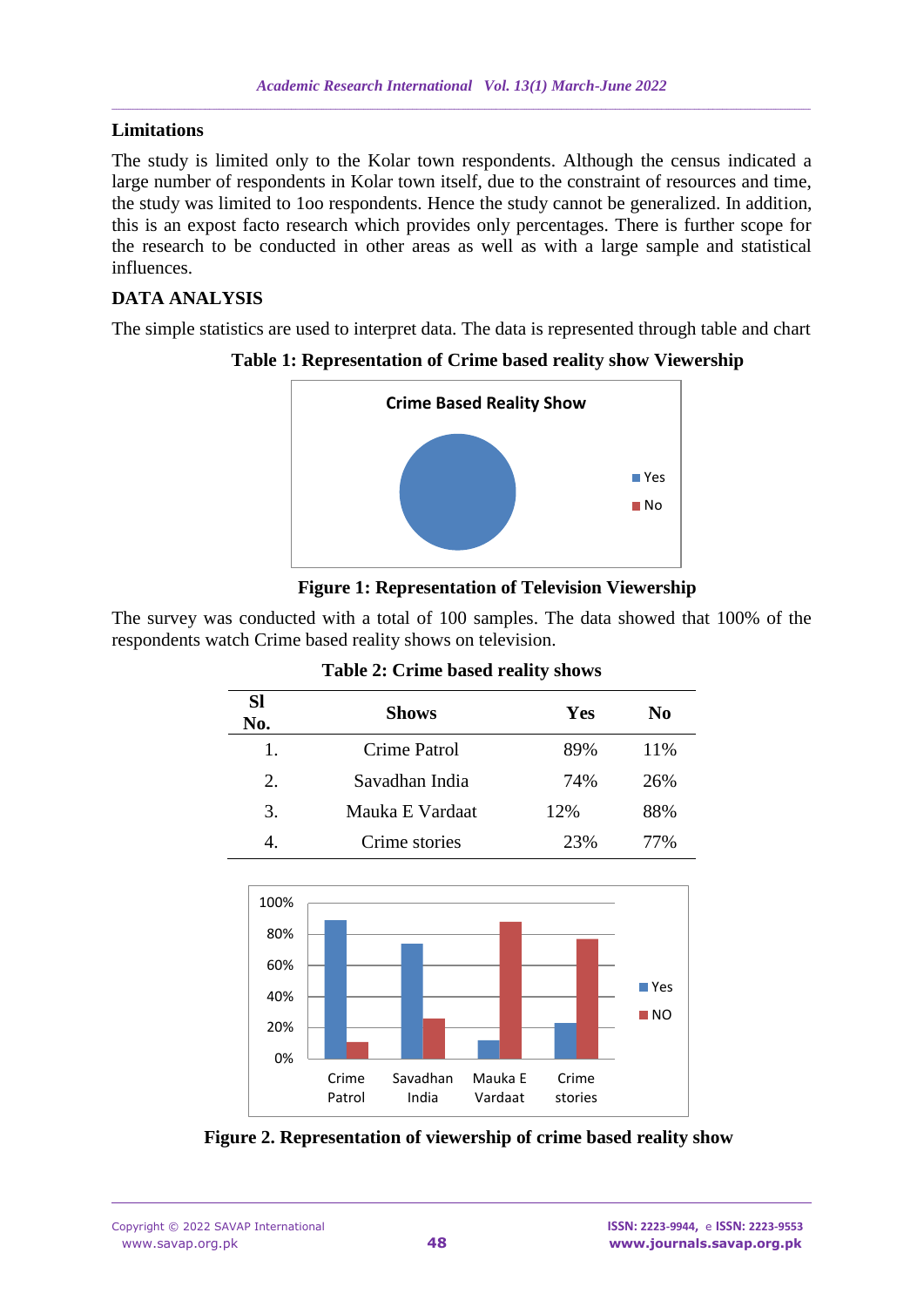### **Limitations**

The study is limited only to the Kolar town respondents. Although the census indicated a large number of respondents in Kolar town itself, due to the constraint of resources and time, the study was limited to 1oo respondents. Hence the study cannot be generalized. In addition, this is an expost facto research which provides only percentages. There is further scope for the research to be conducted in other areas as well as with a large sample and statistical influences.

## **DATA ANALYSIS**

The simple statistics are used to interpret data. The data is represented through table and chart



**Table 1: Representation of Crime based reality show Viewership**



The survey was conducted with a total of 100 samples. The data showed that 100% of the respondents watch Crime based reality shows on television.

| <b>Sl</b><br>No. | <b>Shows</b>    | Yes | No  |
|------------------|-----------------|-----|-----|
| 1.               | Crime Patrol    | 89% | 11% |
| 2.               | Savadhan India  | 74% | 26% |
| 3.               | Mauka E Vardaat | 12% | 88% |
|                  | Crime stories   | 23% | 77% |

#### **Table 2: Crime based reality shows**



**Figure 2. Representation of viewership of crime based reality show**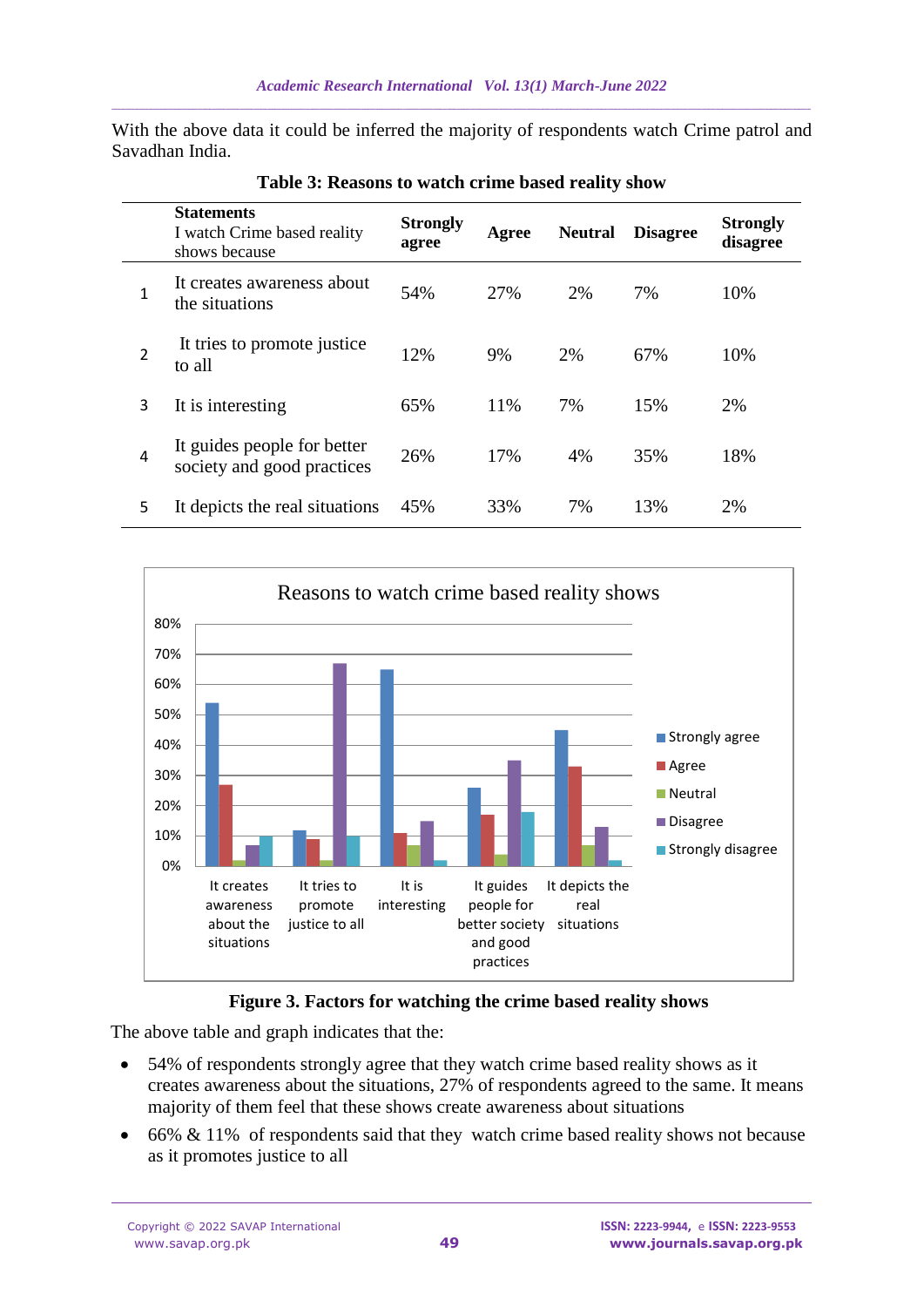With the above data it could be inferred the majority of respondents watch Crime patrol and Savadhan India.

|   | <b>Statements</b><br>I watch Crime based reality<br>shows because | <b>Strongly</b><br>agree | Agree | <b>Neutral</b> | <b>Disagree</b> | <b>Strongly</b><br>disagree |
|---|-------------------------------------------------------------------|--------------------------|-------|----------------|-----------------|-----------------------------|
| 1 | It creates awareness about<br>the situations                      | 54%                      | 27%   | 2%             | 7%              | 10%                         |
| 2 | It tries to promote justice.<br>to all                            | 12%                      | 9%    | 2%             | 67%             | 10%                         |
| 3 | It is interesting                                                 | 65%                      | 11%   | 7%             | 15%             | 2%                          |
| 4 | It guides people for better<br>society and good practices         | 26%                      | 17%   | 4%             | 35%             | 18%                         |
| 5 | It depicts the real situations                                    | 45%                      | 33%   | 7%             | 13%             | 2%                          |

**Table 3: Reasons to watch crime based reality show**



#### **Figure 3. Factors for watching the crime based reality shows**

The above table and graph indicates that the:

- 54% of respondents strongly agree that they watch crime based reality shows as it creates awareness about the situations, 27% of respondents agreed to the same. It means majority of them feel that these shows create awareness about situations
- 66% & 11% of respondents said that they watch crime based reality shows not because as it promotes justice to all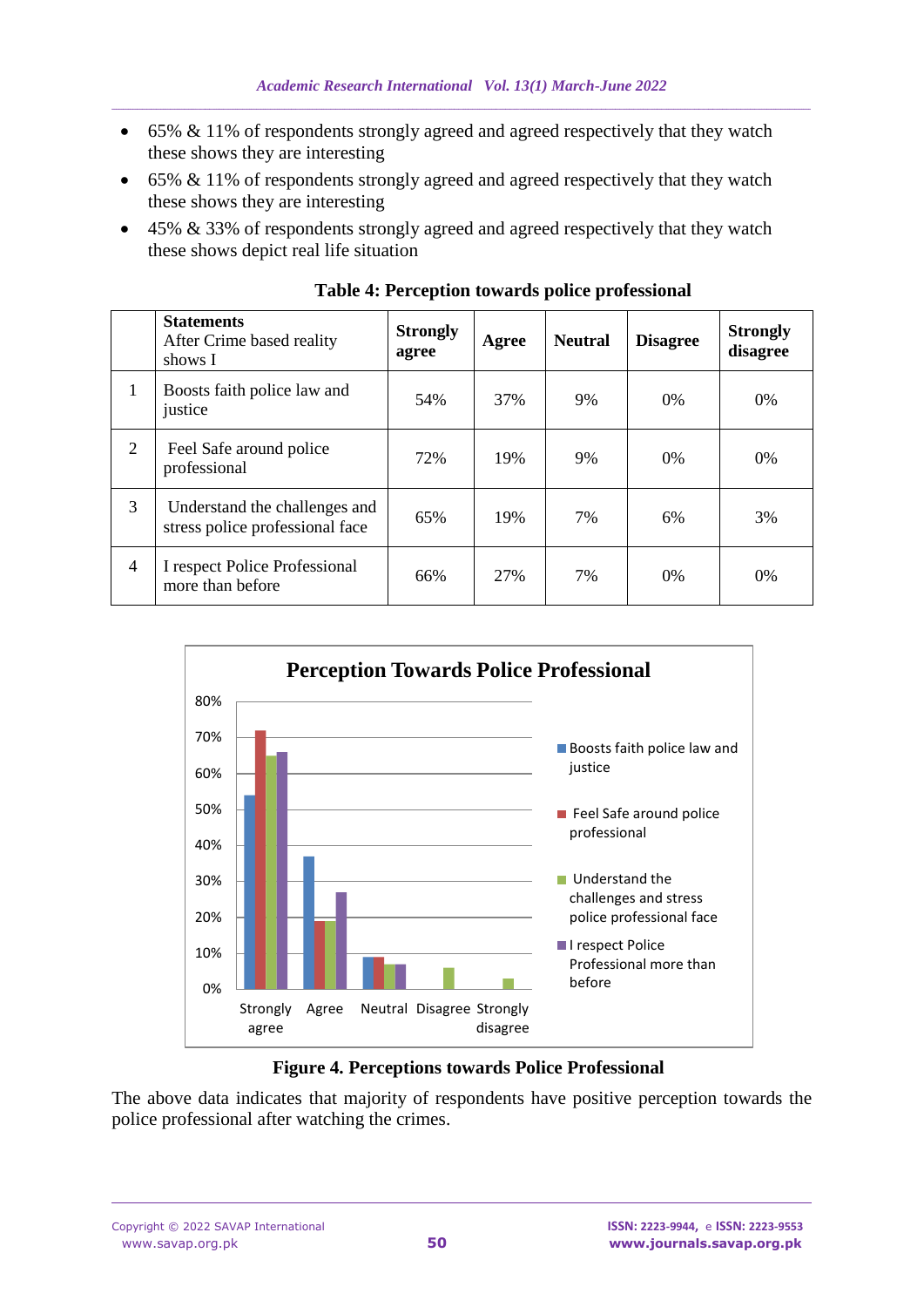- 65% & 11% of respondents strongly agreed and agreed respectively that they watch these shows they are interesting
- 65% & 11% of respondents strongly agreed and agreed respectively that they watch these shows they are interesting
- 45% & 33% of respondents strongly agreed and agreed respectively that they watch these shows depict real life situation

|   | <b>Statements</b><br>After Crime based reality<br>shows I        | <b>Strongly</b><br>agree | Agree | <b>Neutral</b> | <b>Disagree</b> | <b>Strongly</b><br>disagree |
|---|------------------------------------------------------------------|--------------------------|-------|----------------|-----------------|-----------------------------|
| 1 | Boosts faith police law and<br>justice                           | 54%                      | 37%   | 9%             | $0\%$           | 0%                          |
| 2 | Feel Safe around police<br>professional                          | 72%                      | 19%   | 9%             | $0\%$           | 0%                          |
| 3 | Understand the challenges and<br>stress police professional face | 65%                      | 19%   | 7%             | 6%              | 3%                          |
| 4 | I respect Police Professional<br>more than before                | 66%                      | 27%   | 7%             | $0\%$           | 0%                          |

**Table 4: Perception towards police professional**



### **Figure 4. Perceptions towards Police Professional**

The above data indicates that majority of respondents have positive perception towards the police professional after watching the crimes.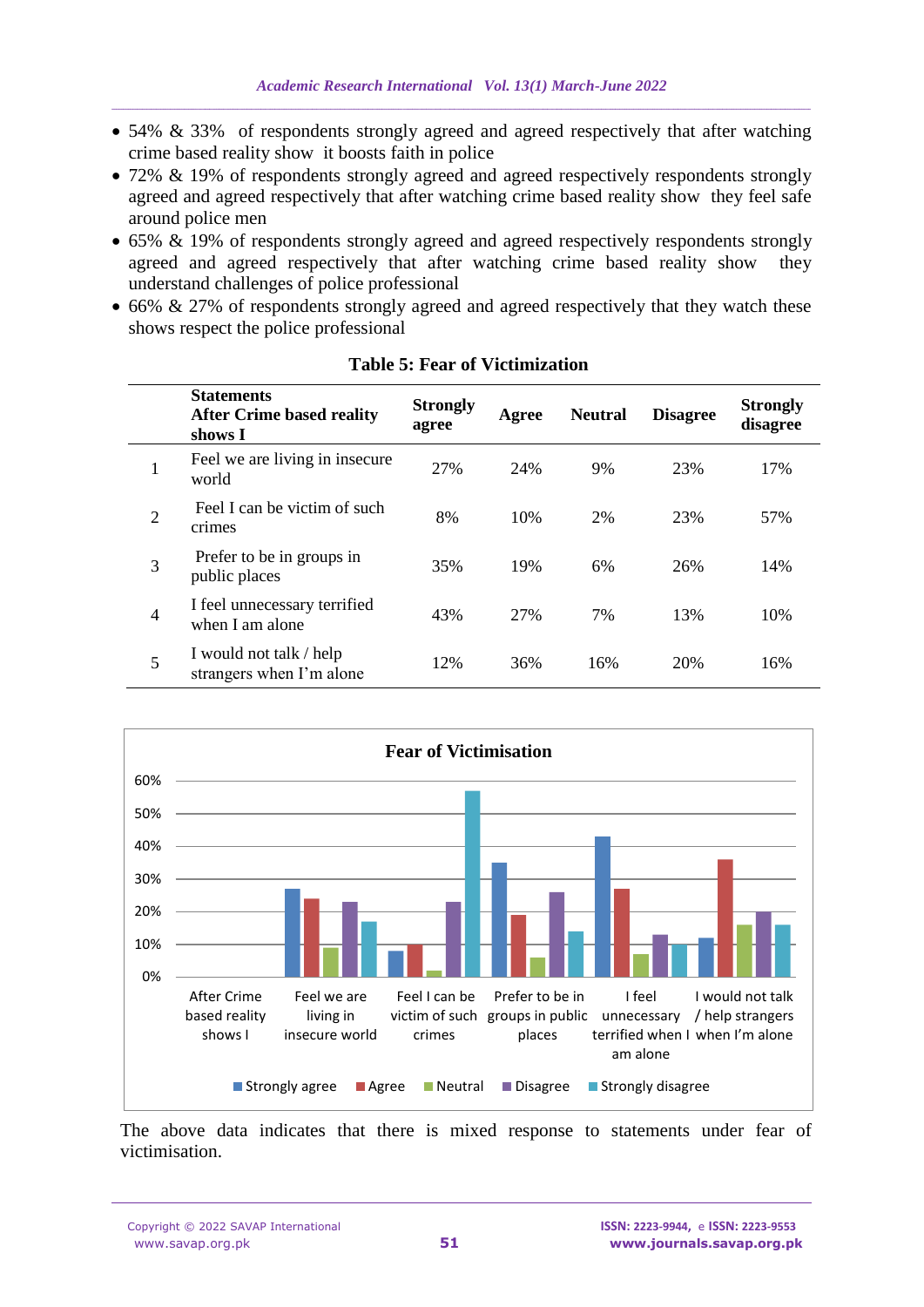- 54% & 33% of respondents strongly agreed and agreed respectively that after watching crime based reality show it boosts faith in police
- 72% & 19% of respondents strongly agreed and agreed respectively respondents strongly agreed and agreed respectively that after watching crime based reality show they feel safe around police men
- 65% & 19% of respondents strongly agreed and agreed respectively respondents strongly agreed and agreed respectively that after watching crime based reality show they understand challenges of police professional
- 66% & 27% of respondents strongly agreed and agreed respectively that they watch these shows respect the police professional

|                | <b>Statements</b><br><b>After Crime based reality</b><br>shows I | <b>Strongly</b><br>agree | Agree | <b>Neutral</b> | <b>Disagree</b> | <b>Strongly</b><br>disagree |
|----------------|------------------------------------------------------------------|--------------------------|-------|----------------|-----------------|-----------------------------|
| 1              | Feel we are living in insecure<br>world                          | 27%                      | 24%   | 9%             | 23%             | 17%                         |
| $\overline{2}$ | Feel I can be victim of such<br>crimes                           | 8%                       | 10%   | 2%             | 23%             | 57%                         |
| 3              | Prefer to be in groups in<br>public places                       | 35%                      | 19%   | 6%             | 26%             | 14%                         |
| $\overline{4}$ | I feel unnecessary terrified<br>when I am alone                  | 43%                      | 27%   | 7%             | 13%             | 10%                         |
| 5              | I would not talk / help<br>strangers when I'm alone              | 12%                      | 36%   | 16%            | 20%             | 16%                         |

**Table 5: Fear of Victimization**



The above data indicates that there is mixed response to statements under fear of victimisation.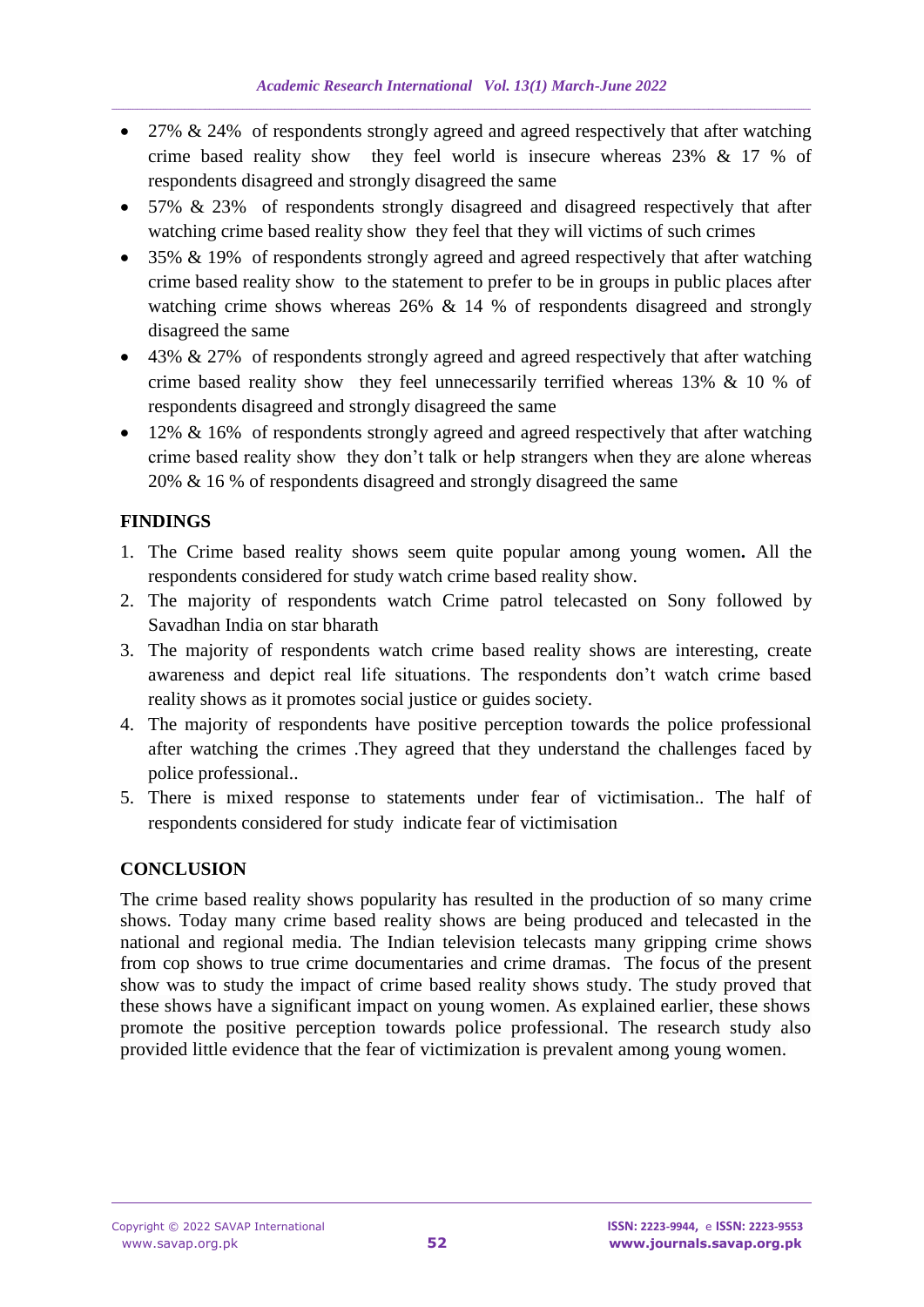- 27% & 24% of respondents strongly agreed and agreed respectively that after watching crime based reality show they feel world is insecure whereas 23% & 17 % of respondents disagreed and strongly disagreed the same
- 57% & 23% of respondents strongly disagreed and disagreed respectively that after watching crime based reality show they feel that they will victims of such crimes
- 35% & 19% of respondents strongly agreed and agreed respectively that after watching crime based reality show to the statement to prefer to be in groups in public places after watching crime shows whereas 26% & 14 % of respondents disagreed and strongly disagreed the same
- 43% & 27% of respondents strongly agreed and agreed respectively that after watching crime based reality show they feel unnecessarily terrified whereas 13% & 10 % of respondents disagreed and strongly disagreed the same
- 12% & 16% of respondents strongly agreed and agreed respectively that after watching crime based reality show they don't talk or help strangers when they are alone whereas 20% & 16 % of respondents disagreed and strongly disagreed the same

# **FINDINGS**

- 1. The Crime based reality shows seem quite popular among young women**.** All the respondents considered for study watch crime based reality show.
- 2. The majority of respondents watch Crime patrol telecasted on Sony followed by Savadhan India on star bharath
- 3. The majority of respondents watch crime based reality shows are interesting, create awareness and depict real life situations. The respondents don't watch crime based reality shows as it promotes social justice or guides society.
- 4. The majority of respondents have positive perception towards the police professional after watching the crimes .They agreed that they understand the challenges faced by police professional..
- 5. There is mixed response to statements under fear of victimisation.. The half of respondents considered for study indicate fear of victimisation

# **CONCLUSION**

The crime based reality shows popularity has resulted in the production of so many crime shows. Today many crime based reality shows are being produced and telecasted in the national and regional media. The Indian television telecasts many gripping crime shows from cop shows to true crime documentaries and crime dramas. The focus of the present show was to study the impact of crime based reality shows study. The study proved that these shows have a significant impact on young women. As explained earlier, these shows promote the positive perception towards police professional. The research study also provided little evidence that the fear of victimization is prevalent among young women.